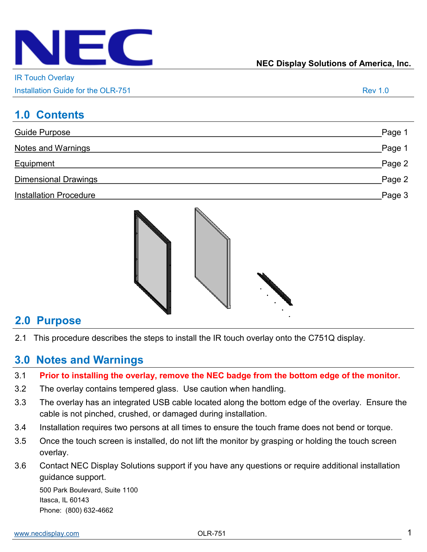

IR Touch Overlay

| Installation Guide for the OLR-751 |  |
|------------------------------------|--|
|------------------------------------|--|

## **1.0 Contents**

| Guide Purpose                 | Page 1 |
|-------------------------------|--------|
| <b>Notes and Warnings</b>     | Page 1 |
| Equipment                     | Page 2 |
| <b>Dimensional Drawings</b>   | Page 2 |
| <b>Installation Procedure</b> | Page 3 |



### **2.0 Purpose**

2.1 This procedure describes the steps to install the IR touch overlay onto the C751Q display.

## **3.0 Notes and Warnings**

- 3.1 **Prior to installing the overlay, remove the NEC badge from the bottom edge of the monitor.**
- 3.2 The overlay contains tempered glass. Use caution when handling.
- 3.3 The overlay has an integrated USB cable located along the bottom edge of the overlay. Ensure the cable is not pinched, crushed, or damaged during installation.
- 3.4 Installation requires two persons at all times to ensure the touch frame does not bend or torque.
- 3.5 Once the touch screen is installed, do not lift the monitor by grasping or holding the touch screen overlay.
- 3.6 Contact NEC Display Solutions support if you have any questions or require additional installation guidance support.

500 Park Boulevard, Suite 1100 Itasca, IL 60143 Phone: (800) 632-4662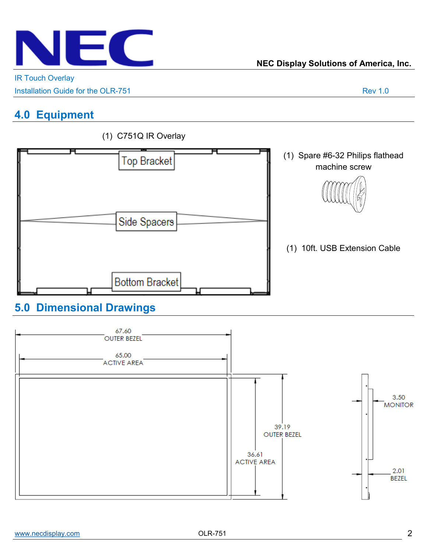

IR Touch Overlay

Installation Guide for the OLR-751 Rev 1.0

# **4.0 Equipment**



### (1) C751Q IR Overlay

# **5.0 Dimensional Drawings**

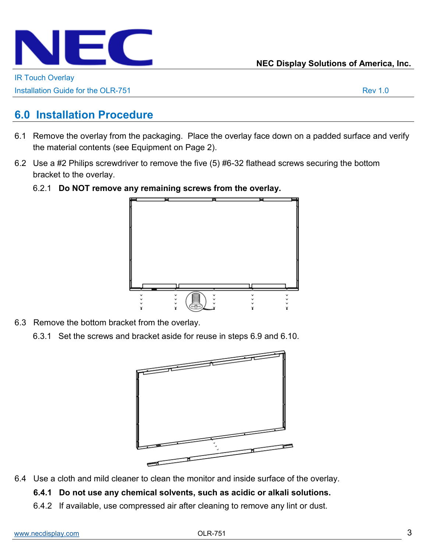

**NEC Display Solutions of America, Inc.**

IR Touch Overlay

Installation Guide for the OLR-751 Rev 1.0

## **6.0 Installation Procedure**

- 6.1 Remove the overlay from the packaging. Place the overlay face down on a padded surface and verify the material contents (see Equipment on Page 2).
- 6.2 Use a #2 Philips screwdriver to remove the five (5) #6-32 flathead screws securing the bottom bracket to the overlay.
	- 6.2.1 **Do NOT remove any remaining screws from the overlay.**



- 6.3 Remove the bottom bracket from the overlay.
	- 6.3.1 Set the screws and bracket aside for reuse in steps 6.9 and 6.10.



- 6.4 Use a cloth and mild cleaner to clean the monitor and inside surface of the overlay.
	- **6.4.1 Do not use any chemical solvents, such as acidic or alkali solutions.**
	- 6.4.2 If available, use compressed air after cleaning to remove any lint or dust.